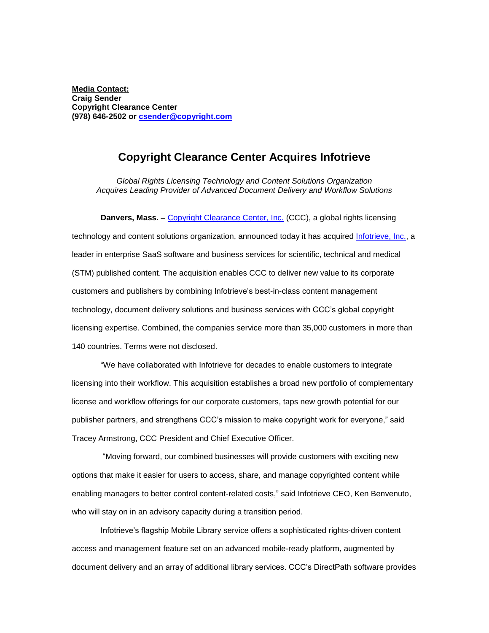**Media Contact: Craig Sender Copyright Clearance Center (978) 646-2502 or [csender@copyright.com](mailto:csender@copyright.com)**

## **Copyright Clearance Center Acquires Infotrieve**

*Global Rights Licensing Technology and Content Solutions Organization Acquires Leading Provider of Advanced Document Delivery and Workflow Solutions*

**Danvers, Mass. -** [Copyright Clearance Center, Inc.](http://www.copyright.com/) (CCC), a global rights licensing technology and content solutions organization, announced today it has acquired [Infotrieve, Inc.,](http://www.infotrieve.com/) a leader in enterprise SaaS software and business services for scientific, technical and medical (STM) published content. The acquisition enables CCC to deliver new value to its corporate customers and publishers by combining Infotrieve's best-in-class content management technology, document delivery solutions and business services with CCC's global copyright licensing expertise. Combined, the companies service more than 35,000 customers in more than 140 countries. Terms were not disclosed.

"We have collaborated with Infotrieve for decades to enable customers to integrate licensing into their workflow. This acquisition establishes a broad new portfolio of complementary license and workflow offerings for our corporate customers, taps new growth potential for our publisher partners, and strengthens CCC's mission to make copyright work for everyone," said Tracey Armstrong, CCC President and Chief Executive Officer.

"Moving forward, our combined businesses will provide customers with exciting new options that make it easier for users to access, share, and manage copyrighted content while enabling managers to better control content-related costs," said Infotrieve CEO, Ken Benvenuto, who will stay on in an advisory capacity during a transition period.

Infotrieve's flagship Mobile Library service offers a sophisticated rights-driven content access and management feature set on an advanced mobile-ready platform, augmented by document delivery and an array of additional library services. CCC's DirectPath software provides